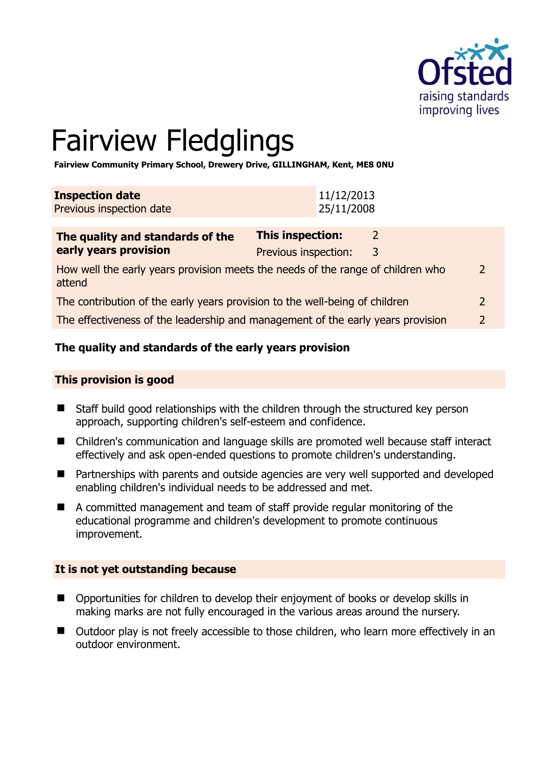

# Fairview Fledglings

**Fairview Community Primary School, Drewery Drive, GILLINGHAM, Kent, ME8 0NU** 

| The quality and standards of the                   | <b>This inspection:</b>  |  |
|----------------------------------------------------|--------------------------|--|
| <b>Inspection date</b><br>Previous inspection date | 11/12/2013<br>25/11/2008 |  |
|                                                    |                          |  |

| The quality and standards of the                                                          | This inspection:     |   |  |
|-------------------------------------------------------------------------------------------|----------------------|---|--|
| early years provision                                                                     | Previous inspection: | 3 |  |
| How well the early years provision meets the needs of the range of children who<br>attend |                      |   |  |
| The contribution of the early years provision to the well-being of children               |                      |   |  |

The effectiveness of the leadership and management of the early years provision 2

# **The quality and standards of the early years provision**

#### **This provision is good**

- Staff build good relationships with the children through the structured key person approach, supporting children's self-esteem and confidence.
- Children's communication and language skills are promoted well because staff interact effectively and ask open-ended questions to promote children's understanding.
- Partnerships with parents and outside agencies are very well supported and developed enabling children's individual needs to be addressed and met.
- A committed management and team of staff provide regular monitoring of the educational programme and children's development to promote continuous improvement.

#### **It is not yet outstanding because**

- Opportunities for children to develop their enjoyment of books or develop skills in making marks are not fully encouraged in the various areas around the nursery.
- Outdoor play is not freely accessible to those children, who learn more effectively in an outdoor environment.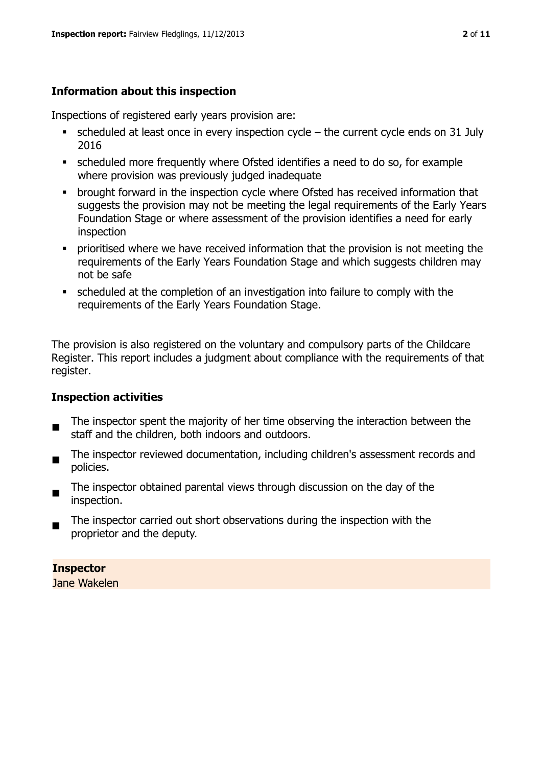# **Information about this inspection**

Inspections of registered early years provision are:

- $\bullet$  scheduled at least once in every inspection cycle the current cycle ends on 31 July 2016
- scheduled more frequently where Ofsted identifies a need to do so, for example where provision was previously judged inadequate
- **•** brought forward in the inspection cycle where Ofsted has received information that suggests the provision may not be meeting the legal requirements of the Early Years Foundation Stage or where assessment of the provision identifies a need for early inspection
- **•** prioritised where we have received information that the provision is not meeting the requirements of the Early Years Foundation Stage and which suggests children may not be safe
- scheduled at the completion of an investigation into failure to comply with the requirements of the Early Years Foundation Stage.

The provision is also registered on the voluntary and compulsory parts of the Childcare Register. This report includes a judgment about compliance with the requirements of that register.

# **Inspection activities**

- п The inspector spent the majority of her time observing the interaction between the staff and the children, both indoors and outdoors.
- The inspector reviewed documentation, including children's assessment records and policies.
- The inspector obtained parental views through discussion on the day of the inspection.
- The inspector carried out short observations during the inspection with the proprietor and the deputy.

# **Inspector**

Jane Wakelen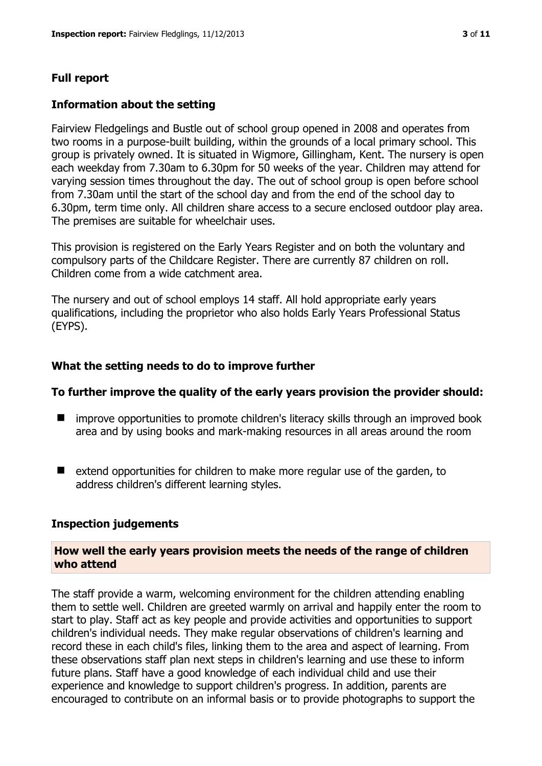## **Full report**

#### **Information about the setting**

Fairview Fledgelings and Bustle out of school group opened in 2008 and operates from two rooms in a purpose-built building, within the grounds of a local primary school. This group is privately owned. It is situated in Wigmore, Gillingham, Kent. The nursery is open each weekday from 7.30am to 6.30pm for 50 weeks of the year. Children may attend for varying session times throughout the day. The out of school group is open before school from 7.30am until the start of the school day and from the end of the school day to 6.30pm, term time only. All children share access to a secure enclosed outdoor play area. The premises are suitable for wheelchair uses.

This provision is registered on the Early Years Register and on both the voluntary and compulsory parts of the Childcare Register. There are currently 87 children on roll. Children come from a wide catchment area.

The nursery and out of school employs 14 staff. All hold appropriate early years qualifications, including the proprietor who also holds Early Years Professional Status (EYPS).

#### **What the setting needs to do to improve further**

#### **To further improve the quality of the early years provision the provider should:**

- improve opportunities to promote children's literacy skills through an improved book area and by using books and mark-making resources in all areas around the room
- extend opportunities for children to make more regular use of the garden, to address children's different learning styles.

#### **Inspection judgements**

#### **How well the early years provision meets the needs of the range of children who attend**

The staff provide a warm, welcoming environment for the children attending enabling them to settle well. Children are greeted warmly on arrival and happily enter the room to start to play. Staff act as key people and provide activities and opportunities to support children's individual needs. They make regular observations of children's learning and record these in each child's files, linking them to the area and aspect of learning. From these observations staff plan next steps in children's learning and use these to inform future plans. Staff have a good knowledge of each individual child and use their experience and knowledge to support children's progress. In addition, parents are encouraged to contribute on an informal basis or to provide photographs to support the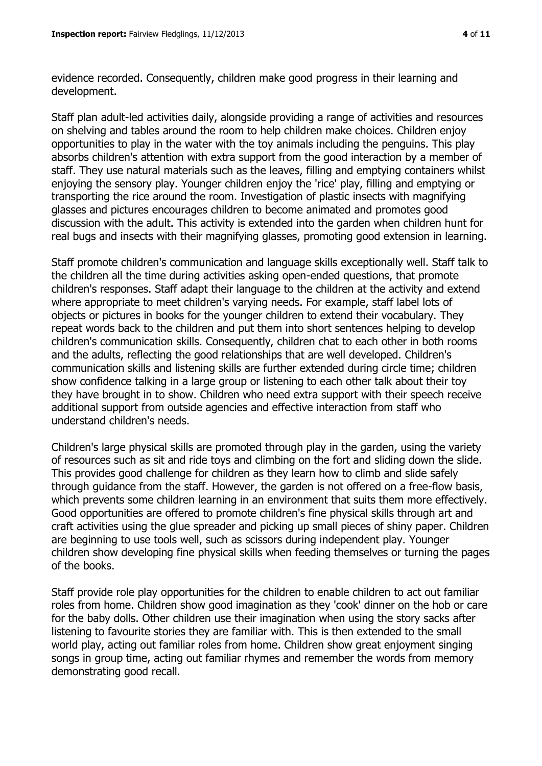evidence recorded. Consequently, children make good progress in their learning and development.

Staff plan adult-led activities daily, alongside providing a range of activities and resources on shelving and tables around the room to help children make choices. Children enjoy opportunities to play in the water with the toy animals including the penguins. This play absorbs children's attention with extra support from the good interaction by a member of staff. They use natural materials such as the leaves, filling and emptying containers whilst enjoying the sensory play. Younger children enjoy the 'rice' play, filling and emptying or transporting the rice around the room. Investigation of plastic insects with magnifying glasses and pictures encourages children to become animated and promotes good discussion with the adult. This activity is extended into the garden when children hunt for real bugs and insects with their magnifying glasses, promoting good extension in learning.

Staff promote children's communication and language skills exceptionally well. Staff talk to the children all the time during activities asking open-ended questions, that promote children's responses. Staff adapt their language to the children at the activity and extend where appropriate to meet children's varying needs. For example, staff label lots of objects or pictures in books for the younger children to extend their vocabulary. They repeat words back to the children and put them into short sentences helping to develop children's communication skills. Consequently, children chat to each other in both rooms and the adults, reflecting the good relationships that are well developed. Children's communication skills and listening skills are further extended during circle time; children show confidence talking in a large group or listening to each other talk about their toy they have brought in to show. Children who need extra support with their speech receive additional support from outside agencies and effective interaction from staff who understand children's needs.

Children's large physical skills are promoted through play in the garden, using the variety of resources such as sit and ride toys and climbing on the fort and sliding down the slide. This provides good challenge for children as they learn how to climb and slide safely through guidance from the staff. However, the garden is not offered on a free-flow basis, which prevents some children learning in an environment that suits them more effectively. Good opportunities are offered to promote children's fine physical skills through art and craft activities using the glue spreader and picking up small pieces of shiny paper. Children are beginning to use tools well, such as scissors during independent play. Younger children show developing fine physical skills when feeding themselves or turning the pages of the books.

Staff provide role play opportunities for the children to enable children to act out familiar roles from home. Children show good imagination as they 'cook' dinner on the hob or care for the baby dolls. Other children use their imagination when using the story sacks after listening to favourite stories they are familiar with. This is then extended to the small world play, acting out familiar roles from home. Children show great enjoyment singing songs in group time, acting out familiar rhymes and remember the words from memory demonstrating good recall.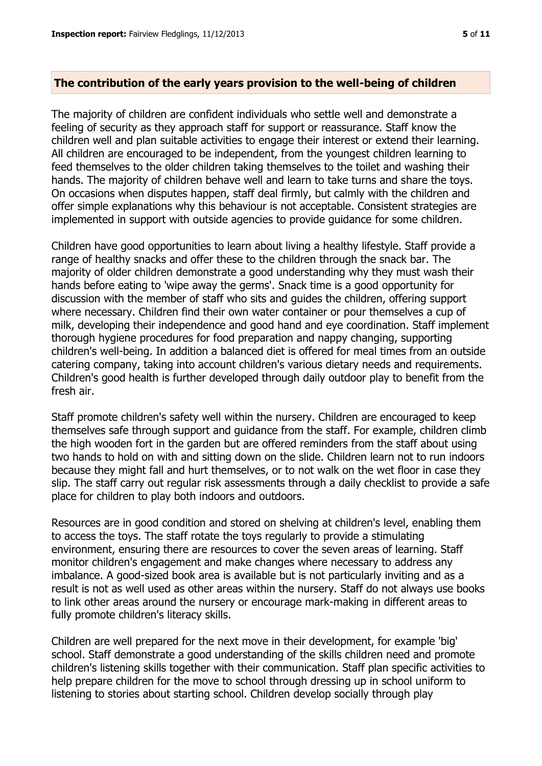#### **The contribution of the early years provision to the well-being of children**

The majority of children are confident individuals who settle well and demonstrate a feeling of security as they approach staff for support or reassurance. Staff know the children well and plan suitable activities to engage their interest or extend their learning. All children are encouraged to be independent, from the youngest children learning to feed themselves to the older children taking themselves to the toilet and washing their hands. The majority of children behave well and learn to take turns and share the toys. On occasions when disputes happen, staff deal firmly, but calmly with the children and offer simple explanations why this behaviour is not acceptable. Consistent strategies are implemented in support with outside agencies to provide guidance for some children.

Children have good opportunities to learn about living a healthy lifestyle. Staff provide a range of healthy snacks and offer these to the children through the snack bar. The majority of older children demonstrate a good understanding why they must wash their hands before eating to 'wipe away the germs'. Snack time is a good opportunity for discussion with the member of staff who sits and guides the children, offering support where necessary. Children find their own water container or pour themselves a cup of milk, developing their independence and good hand and eye coordination. Staff implement thorough hygiene procedures for food preparation and nappy changing, supporting children's well-being. In addition a balanced diet is offered for meal times from an outside catering company, taking into account children's various dietary needs and requirements. Children's good health is further developed through daily outdoor play to benefit from the fresh air.

Staff promote children's safety well within the nursery. Children are encouraged to keep themselves safe through support and guidance from the staff. For example, children climb the high wooden fort in the garden but are offered reminders from the staff about using two hands to hold on with and sitting down on the slide. Children learn not to run indoors because they might fall and hurt themselves, or to not walk on the wet floor in case they slip. The staff carry out regular risk assessments through a daily checklist to provide a safe place for children to play both indoors and outdoors.

Resources are in good condition and stored on shelving at children's level, enabling them to access the toys. The staff rotate the toys regularly to provide a stimulating environment, ensuring there are resources to cover the seven areas of learning. Staff monitor children's engagement and make changes where necessary to address any imbalance. A good-sized book area is available but is not particularly inviting and as a result is not as well used as other areas within the nursery. Staff do not always use books to link other areas around the nursery or encourage mark-making in different areas to fully promote children's literacy skills.

Children are well prepared for the next move in their development, for example 'big' school. Staff demonstrate a good understanding of the skills children need and promote children's listening skills together with their communication. Staff plan specific activities to help prepare children for the move to school through dressing up in school uniform to listening to stories about starting school. Children develop socially through play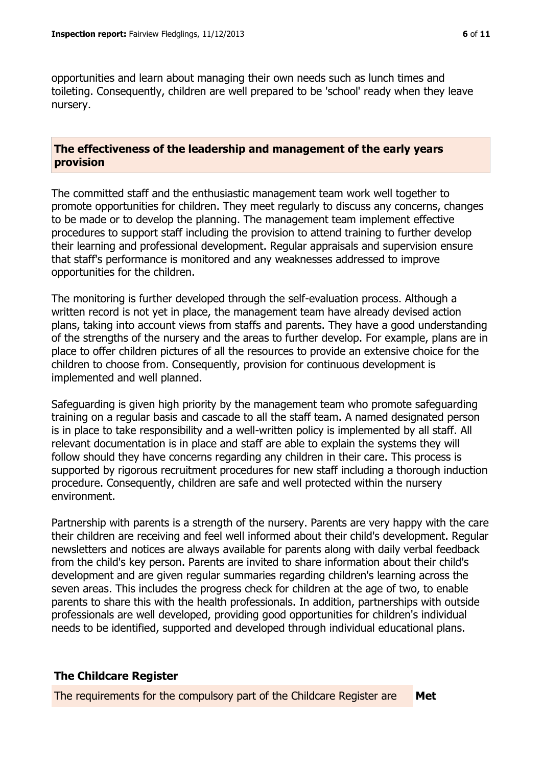opportunities and learn about managing their own needs such as lunch times and toileting. Consequently, children are well prepared to be 'school' ready when they leave nursery.

### **The effectiveness of the leadership and management of the early years provision**

The committed staff and the enthusiastic management team work well together to promote opportunities for children. They meet regularly to discuss any concerns, changes to be made or to develop the planning. The management team implement effective procedures to support staff including the provision to attend training to further develop their learning and professional development. Regular appraisals and supervision ensure that staff's performance is monitored and any weaknesses addressed to improve opportunities for the children.

The monitoring is further developed through the self-evaluation process. Although a written record is not yet in place, the management team have already devised action plans, taking into account views from staffs and parents. They have a good understanding of the strengths of the nursery and the areas to further develop. For example, plans are in place to offer children pictures of all the resources to provide an extensive choice for the children to choose from. Consequently, provision for continuous development is implemented and well planned.

Safeguarding is given high priority by the management team who promote safeguarding training on a regular basis and cascade to all the staff team. A named designated person is in place to take responsibility and a well-written policy is implemented by all staff. All relevant documentation is in place and staff are able to explain the systems they will follow should they have concerns regarding any children in their care. This process is supported by rigorous recruitment procedures for new staff including a thorough induction procedure. Consequently, children are safe and well protected within the nursery environment.

Partnership with parents is a strength of the nursery. Parents are very happy with the care their children are receiving and feel well informed about their child's development. Regular newsletters and notices are always available for parents along with daily verbal feedback from the child's key person. Parents are invited to share information about their child's development and are given regular summaries regarding children's learning across the seven areas. This includes the progress check for children at the age of two, to enable parents to share this with the health professionals. In addition, partnerships with outside professionals are well developed, providing good opportunities for children's individual needs to be identified, supported and developed through individual educational plans.

# **The Childcare Register**

The requirements for the compulsory part of the Childcare Register are **Met**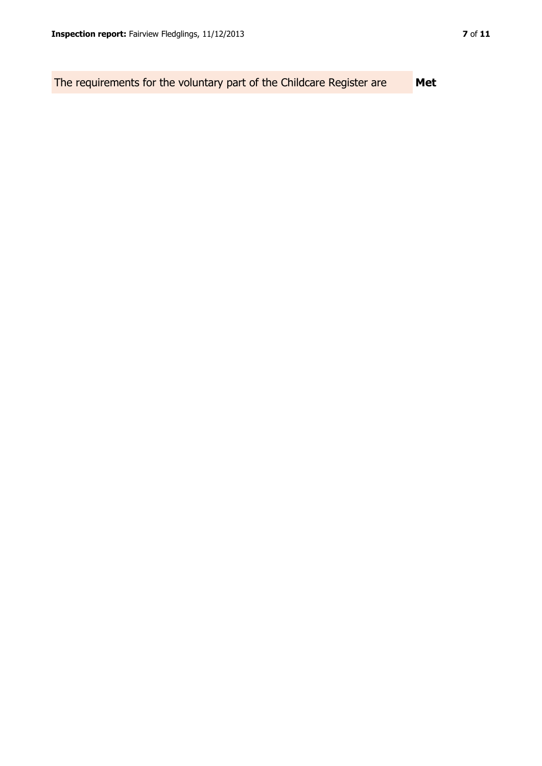The requirements for the voluntary part of the Childcare Register are **Met**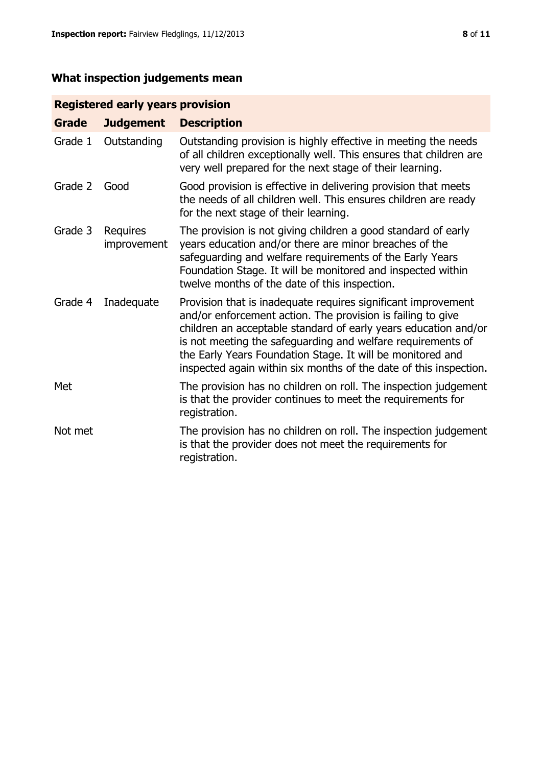# **What inspection judgements mean**

# **Registered early years provision**

| <b>Grade</b> | <b>Judgement</b>        | <b>Description</b>                                                                                                                                                                                                                                                                                                                                                                                |
|--------------|-------------------------|---------------------------------------------------------------------------------------------------------------------------------------------------------------------------------------------------------------------------------------------------------------------------------------------------------------------------------------------------------------------------------------------------|
| Grade 1      | Outstanding             | Outstanding provision is highly effective in meeting the needs<br>of all children exceptionally well. This ensures that children are<br>very well prepared for the next stage of their learning.                                                                                                                                                                                                  |
| Grade 2      | Good                    | Good provision is effective in delivering provision that meets<br>the needs of all children well. This ensures children are ready<br>for the next stage of their learning.                                                                                                                                                                                                                        |
| Grade 3      | Requires<br>improvement | The provision is not giving children a good standard of early<br>years education and/or there are minor breaches of the<br>safeguarding and welfare requirements of the Early Years<br>Foundation Stage. It will be monitored and inspected within<br>twelve months of the date of this inspection.                                                                                               |
| Grade 4      | Inadequate              | Provision that is inadequate requires significant improvement<br>and/or enforcement action. The provision is failing to give<br>children an acceptable standard of early years education and/or<br>is not meeting the safeguarding and welfare requirements of<br>the Early Years Foundation Stage. It will be monitored and<br>inspected again within six months of the date of this inspection. |
| Met          |                         | The provision has no children on roll. The inspection judgement<br>is that the provider continues to meet the requirements for<br>registration.                                                                                                                                                                                                                                                   |
| Not met      |                         | The provision has no children on roll. The inspection judgement<br>is that the provider does not meet the requirements for<br>registration.                                                                                                                                                                                                                                                       |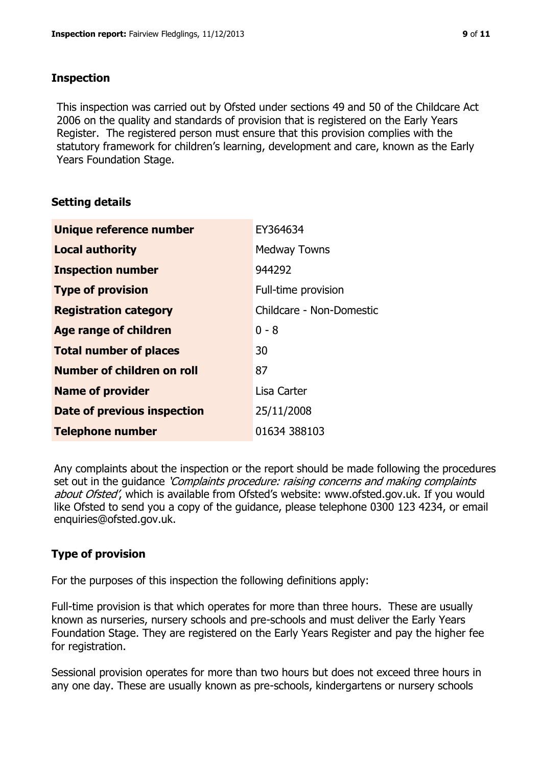## **Inspection**

This inspection was carried out by Ofsted under sections 49 and 50 of the Childcare Act 2006 on the quality and standards of provision that is registered on the Early Years Register. The registered person must ensure that this provision complies with the statutory framework for children's learning, development and care, known as the Early Years Foundation Stage.

# **Setting details**

| Unique reference number       | EY364634                 |
|-------------------------------|--------------------------|
| <b>Local authority</b>        | <b>Medway Towns</b>      |
| <b>Inspection number</b>      | 944292                   |
| <b>Type of provision</b>      | Full-time provision      |
| <b>Registration category</b>  | Childcare - Non-Domestic |
| <b>Age range of children</b>  | $0 - 8$                  |
| <b>Total number of places</b> | 30                       |
| Number of children on roll    | 87                       |
| <b>Name of provider</b>       | Lisa Carter              |
| Date of previous inspection   | 25/11/2008               |
| <b>Telephone number</b>       | 01634 388103             |

Any complaints about the inspection or the report should be made following the procedures set out in the guidance *'Complaints procedure: raising concerns and making complaints* about Ofsted', which is available from Ofsted's website: www.ofsted.gov.uk. If you would like Ofsted to send you a copy of the guidance, please telephone 0300 123 4234, or email enquiries@ofsted.gov.uk.

# **Type of provision**

For the purposes of this inspection the following definitions apply:

Full-time provision is that which operates for more than three hours. These are usually known as nurseries, nursery schools and pre-schools and must deliver the Early Years Foundation Stage. They are registered on the Early Years Register and pay the higher fee for registration.

Sessional provision operates for more than two hours but does not exceed three hours in any one day. These are usually known as pre-schools, kindergartens or nursery schools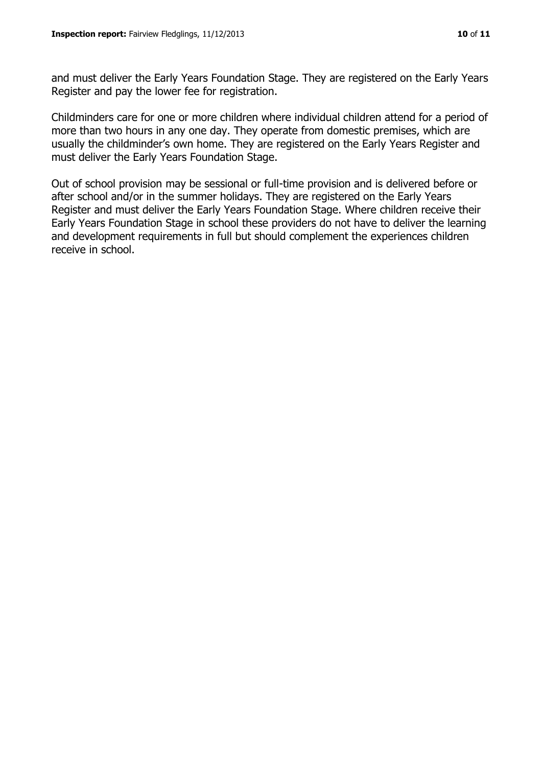and must deliver the Early Years Foundation Stage. They are registered on the Early Years Register and pay the lower fee for registration.

Childminders care for one or more children where individual children attend for a period of more than two hours in any one day. They operate from domestic premises, which are usually the childminder's own home. They are registered on the Early Years Register and must deliver the Early Years Foundation Stage.

Out of school provision may be sessional or full-time provision and is delivered before or after school and/or in the summer holidays. They are registered on the Early Years Register and must deliver the Early Years Foundation Stage. Where children receive their Early Years Foundation Stage in school these providers do not have to deliver the learning and development requirements in full but should complement the experiences children receive in school.